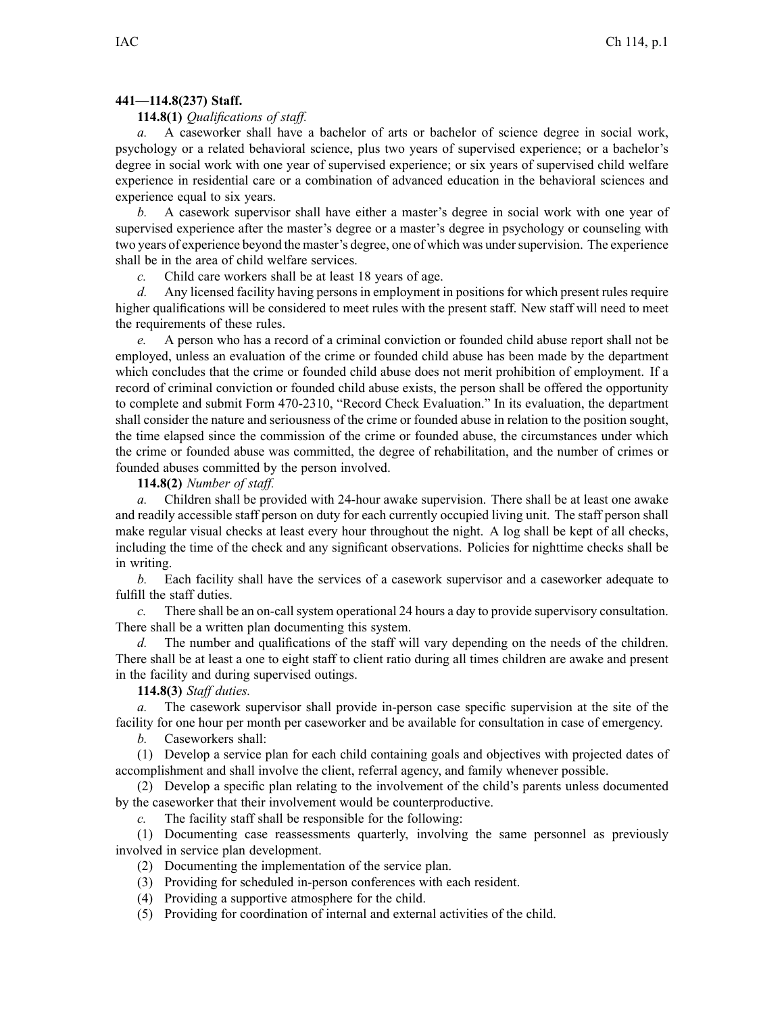## **441—114.8(237) Staff.**

## **114.8(1)** *Qualifications of staff.*

*a.* A caseworker shall have <sup>a</sup> bachelor of arts or bachelor of science degree in social work, psychology or <sup>a</sup> related behavioral science, plus two years of supervised experience; or <sup>a</sup> bachelor's degree in social work with one year of supervised experience; or six years of supervised child welfare experience in residential care or <sup>a</sup> combination of advanced education in the behavioral sciences and experience equal to six years.

*b.* A casework supervisor shall have either <sup>a</sup> master's degree in social work with one year of supervised experience after the master's degree or <sup>a</sup> master's degree in psychology or counseling with two years of experience beyond the master's degree, one of which was under supervision. The experience shall be in the area of child welfare services.

*c.* Child care workers shall be at least 18 years of age.

*d.* Any licensed facility having persons in employment in positions for which presen<sup>t</sup> rules require higher qualifications will be considered to meet rules with the presen<sup>t</sup> staff. New staff will need to meet the requirements of these rules.

*e.* A person who has <sup>a</sup> record of <sup>a</sup> criminal conviction or founded child abuse repor<sup>t</sup> shall not be employed, unless an evaluation of the crime or founded child abuse has been made by the department which concludes that the crime or founded child abuse does not merit prohibition of employment. If <sup>a</sup> record of criminal conviction or founded child abuse exists, the person shall be offered the opportunity to complete and submit Form 470-2310, "Record Check Evaluation." In its evaluation, the department shall consider the nature and seriousness of the crime or founded abuse in relation to the position sought, the time elapsed since the commission of the crime or founded abuse, the circumstances under which the crime or founded abuse was committed, the degree of rehabilitation, and the number of crimes or founded abuses committed by the person involved.

**114.8(2)** *Number of staff.*

*a.* Children shall be provided with 24-hour awake supervision. There shall be at least one awake and readily accessible staff person on duty for each currently occupied living unit. The staff person shall make regular visual checks at least every hour throughout the night. A log shall be kept of all checks, including the time of the check and any significant observations. Policies for nighttime checks shall be in writing.

*b.* Each facility shall have the services of <sup>a</sup> casework supervisor and <sup>a</sup> caseworker adequate to fulfill the staff duties.

*c.* There shall be an on-call system operational 24 hours <sup>a</sup> day to provide supervisory consultation. There shall be <sup>a</sup> written plan documenting this system.

*d.* The number and qualifications of the staff will vary depending on the needs of the children. There shall be at least <sup>a</sup> one to eight staff to client ratio during all times children are awake and presen<sup>t</sup> in the facility and during supervised outings.

**114.8(3)** *Staff duties.*

*a.* The casework supervisor shall provide in-person case specific supervision at the site of the facility for one hour per month per caseworker and be available for consultation in case of emergency.

*b.* Caseworkers shall:

(1) Develop <sup>a</sup> service plan for each child containing goals and objectives with projected dates of accomplishment and shall involve the client, referral agency, and family whenever possible.

(2) Develop <sup>a</sup> specific plan relating to the involvement of the child's parents unless documented by the caseworker that their involvement would be counterproductive.

*c.* The facility staff shall be responsible for the following:

(1) Documenting case reassessments quarterly, involving the same personnel as previously involved in service plan development.

(2) Documenting the implementation of the service plan.

(3) Providing for scheduled in-person conferences with each resident.

(4) Providing <sup>a</sup> supportive atmosphere for the child.

(5) Providing for coordination of internal and external activities of the child.